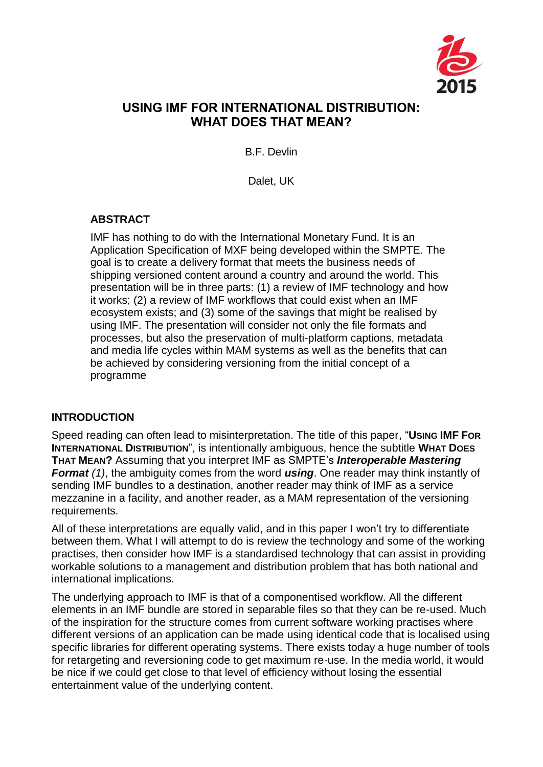

# **USING IMF FOR INTERNATIONAL DISTRIBUTION: WHAT DOES THAT MEAN?**

B.F. Devlin

Dalet, UK

## **ABSTRACT**

IMF has nothing to do with the International Monetary Fund. It is an Application Specification of MXF being developed within the SMPTE. The goal is to create a delivery format that meets the business needs of shipping versioned content around a country and around the world. This presentation will be in three parts: (1) a review of IMF technology and how it works; (2) a review of IMF workflows that could exist when an IMF ecosystem exists; and (3) some of the savings that might be realised by using IMF. The presentation will consider not only the file formats and processes, but also the preservation of multi-platform captions, metadata and media life cycles within MAM systems as well as the benefits that can be achieved by considering versioning from the initial concept of a programme

#### **INTRODUCTION**

Speed reading can often lead to misinterpretation. The title of this paper, "**USING IMF FOR INTERNATIONAL DISTRIBUTION**", is intentionally ambiguous, hence the subtitle **WHAT DOES THAT MEAN?** Assuming that you interpret IMF as SMPTE's *Interoperable Mastering Format (1)*, the ambiguity comes from the word *using*. One reader may think instantly of sending IMF bundles to a destination, another reader may think of IMF as a service mezzanine in a facility, and another reader, as a MAM representation of the versioning requirements.

All of these interpretations are equally valid, and in this paper I won't try to differentiate between them. What I will attempt to do is review the technology and some of the working practises, then consider how IMF is a standardised technology that can assist in providing workable solutions to a management and distribution problem that has both national and international implications.

The underlying approach to IMF is that of a componentised workflow. All the different elements in an IMF bundle are stored in separable files so that they can be re-used. Much of the inspiration for the structure comes from current software working practises where different versions of an application can be made using identical code that is localised using specific libraries for different operating systems. There exists today a huge number of tools for retargeting and reversioning code to get maximum re-use. In the media world, it would be nice if we could get close to that level of efficiency without losing the essential entertainment value of the underlying content.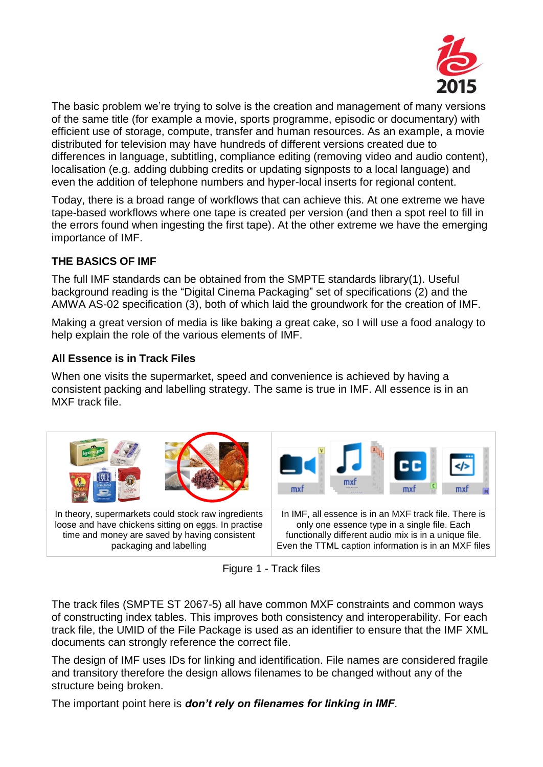

The basic problem we're trying to solve is the creation and management of many versions of the same title (for example a movie, sports programme, episodic or documentary) with efficient use of storage, compute, transfer and human resources. As an example, a movie distributed for television may have hundreds of different versions created due to differences in language, subtitling, compliance editing (removing video and audio content), localisation (e.g. adding dubbing credits or updating signposts to a local language) and even the addition of telephone numbers and hyper-local inserts for regional content.

Today, there is a broad range of workflows that can achieve this. At one extreme we have tape-based workflows where one tape is created per version (and then a spot reel to fill in the errors found when ingesting the first tape). At the other extreme we have the emerging importance of IMF.

## **THE BASICS OF IMF**

The full IMF standards can be obtained from the SMPTE standards library(1). Useful background reading is the "Digital Cinema Packaging" set of specifications (2) and the AMWA AS-02 specification (3), both of which laid the groundwork for the creation of IMF.

Making a great version of media is like baking a great cake, so I will use a food analogy to help explain the role of the various elements of IMF.

## **All Essence is in Track Files**

When one visits the supermarket, speed and convenience is achieved by having a consistent packing and labelling strategy. The same is true in IMF. All essence is in an MXF track file.



Figure 1 - Track files

The track files (SMPTE ST 2067-5) all have common MXF constraints and common ways of constructing index tables. This improves both consistency and interoperability. For each track file, the UMID of the File Package is used as an identifier to ensure that the IMF XML documents can strongly reference the correct file.

The design of IMF uses IDs for linking and identification. File names are considered fragile and transitory therefore the design allows filenames to be changed without any of the structure being broken.

The important point here is *don't rely on filenames for linking in IMF*.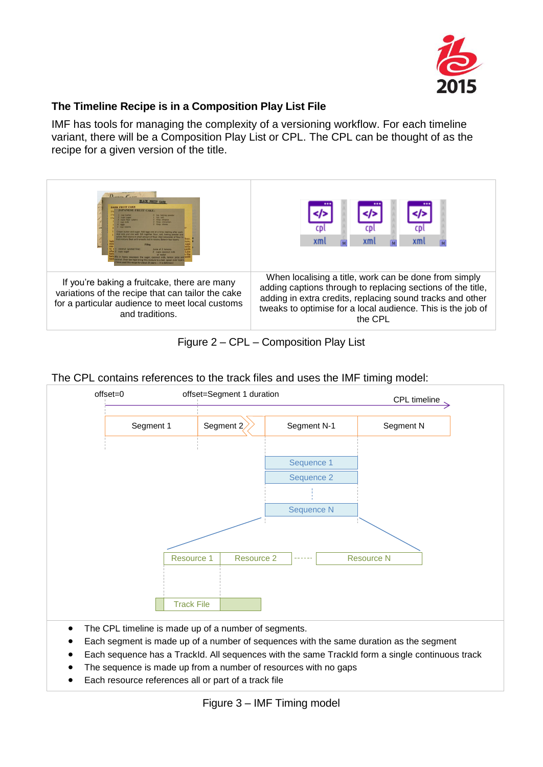

### **The Timeline Recipe is in a Composition Play List File**

IMF has tools for managing the complexity of a versioning workflow. For each timeline variant, there will be a Composition Play List or CPL. The CPL can be thought of as the recipe for a given version of the title.



Figure 2 – CPL – Composition Play List

|  | The CPL contains references to the track files and uses the IMF timing model: |  |  |  |  |  |
|--|-------------------------------------------------------------------------------|--|--|--|--|--|
|  |                                                                               |  |  |  |  |  |
|  |                                                                               |  |  |  |  |  |



- Each segment is made up of a number of sequences with the same duration as the segment
- Each sequence has a TrackId. All sequences with the same TrackId form a single continuous track
- The sequence is made up from a number of resources with no gaps
- Each resource references all or part of a track file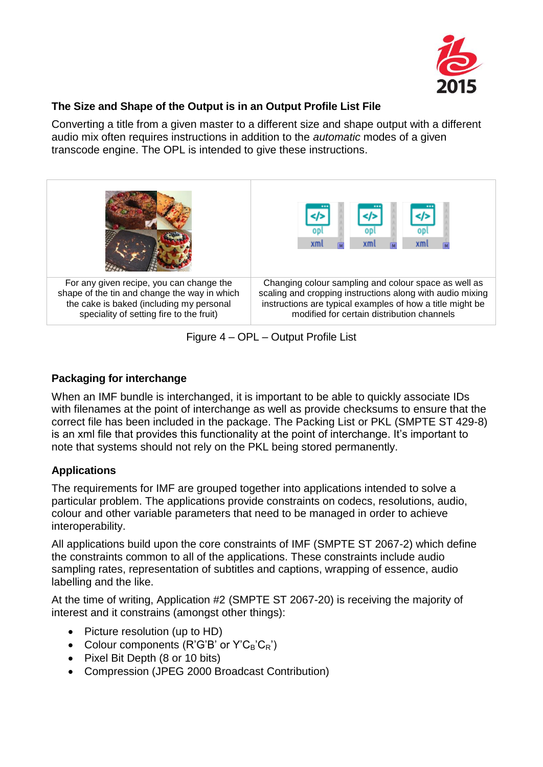

### **The Size and Shape of the Output is in an Output Profile List File**

Converting a title from a given master to a different size and shape output with a different audio mix often requires instructions in addition to the *automatic* modes of a given transcode engine. The OPL is intended to give these instructions.

| For any given recipe, you can change the     | Changing colour sampling and colour space as well as      |  |  |  |  |  |  |
|----------------------------------------------|-----------------------------------------------------------|--|--|--|--|--|--|
| shape of the tin and change the way in which | scaling and cropping instructions along with audio mixing |  |  |  |  |  |  |
| the cake is baked (including my personal     | instructions are typical examples of how a title might be |  |  |  |  |  |  |
| speciality of setting fire to the fruit)     | modified for certain distribution channels                |  |  |  |  |  |  |

Figure 4 – OPL – Output Profile List

## **Packaging for interchange**

When an IMF bundle is interchanged, it is important to be able to quickly associate IDs with filenames at the point of interchange as well as provide checksums to ensure that the correct file has been included in the package. The Packing List or PKL (SMPTE ST 429-8) is an xml file that provides this functionality at the point of interchange. It's important to note that systems should not rely on the PKL being stored permanently.

# **Applications**

The requirements for IMF are grouped together into applications intended to solve a particular problem. The applications provide constraints on codecs, resolutions, audio, colour and other variable parameters that need to be managed in order to achieve interoperability.

All applications build upon the core constraints of IMF (SMPTE ST 2067-2) which define the constraints common to all of the applications. These constraints include audio sampling rates, representation of subtitles and captions, wrapping of essence, audio labelling and the like.

At the time of writing, Application #2 (SMPTE ST 2067-20) is receiving the majority of interest and it constrains (amongst other things):

- Picture resolution (up to HD)
- Colour components ( $R'G'B'$  or  $Y'C_B'C_R'$ )
- Pixel Bit Depth (8 or 10 bits)
- Compression (JPEG 2000 Broadcast Contribution)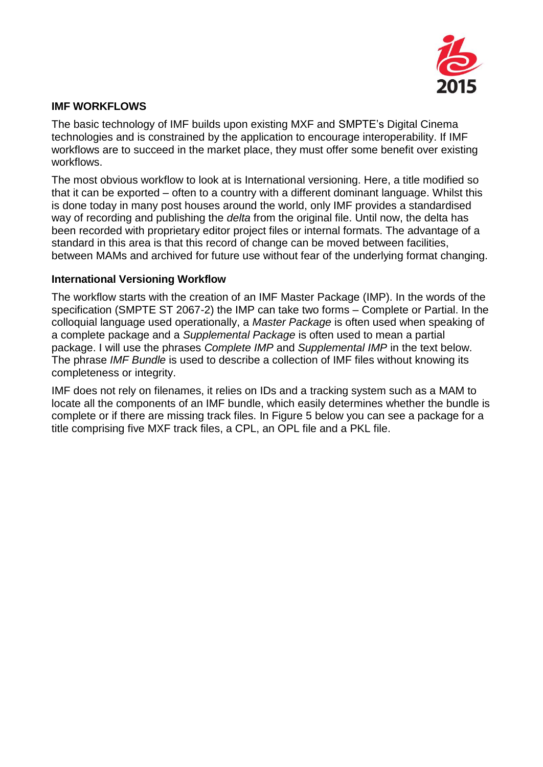

#### **IMF WORKFLOWS**

The basic technology of IMF builds upon existing MXF and SMPTE's Digital Cinema technologies and is constrained by the application to encourage interoperability. If IMF workflows are to succeed in the market place, they must offer some benefit over existing workflows.

The most obvious workflow to look at is International versioning. Here, a title modified so that it can be exported – often to a country with a different dominant language. Whilst this is done today in many post houses around the world, only IMF provides a standardised way of recording and publishing the *delta* from the original file. Until now, the delta has been recorded with proprietary editor project files or internal formats. The advantage of a standard in this area is that this record of change can be moved between facilities, between MAMs and archived for future use without fear of the underlying format changing.

#### **International Versioning Workflow**

The workflow starts with the creation of an IMF Master Package (IMP). In the words of the specification (SMPTE ST 2067-2) the IMP can take two forms – Complete or Partial. In the colloquial language used operationally, a *Master Package* is often used when speaking of a complete package and a *Supplemental Package* is often used to mean a partial package. I will use the phrases *Complete IMP* and *Supplemental IMP* in the text below. The phrase *IMF Bundle* is used to describe a collection of IMF files without knowing its completeness or integrity.

IMF does not rely on filenames, it relies on IDs and a tracking system such as a MAM to locate all the components of an IMF bundle, which easily determines whether the bundle is complete or if there are missing track files. In [Figure 5](#page-5-0) below you can see a package for a title comprising five MXF track files, a CPL, an OPL file and a PKL file.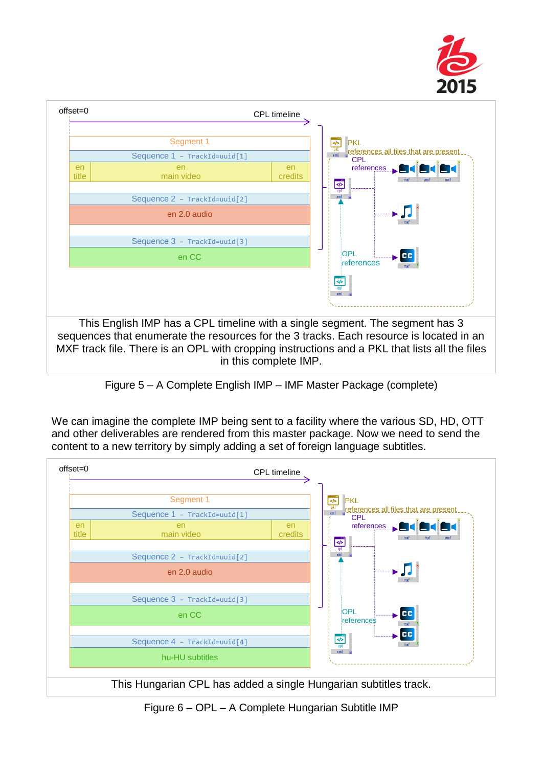



Figure 5 – A Complete English IMP – IMF Master Package (complete)

<span id="page-5-0"></span>We can imagine the complete IMP being sent to a facility where the various SD, HD, OTT and other deliverables are rendered from this master package. Now we need to send the content to a new territory by simply adding a set of foreign language subtitles.



<span id="page-5-1"></span>Figure 6 – OPL – A Complete Hungarian Subtitle IMP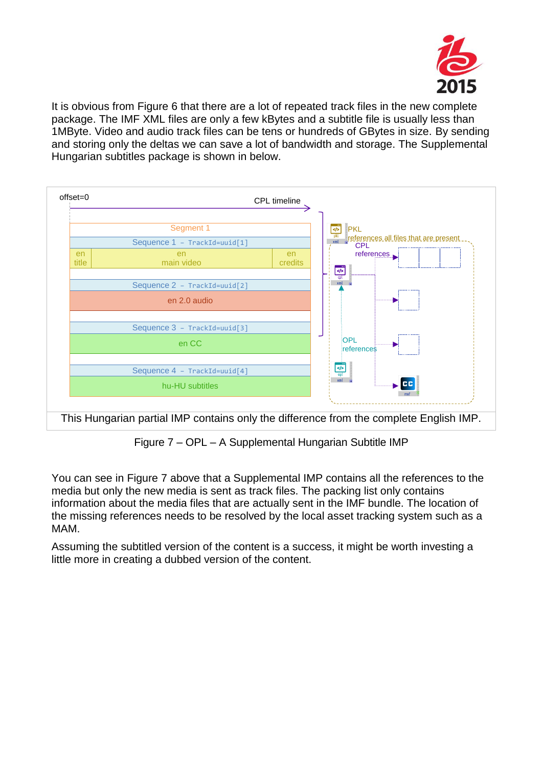

It is obvious from [Figure 6](#page-5-1) that there are a lot of repeated track files in the new complete package. The IMF XML files are only a few kBytes and a subtitle file is usually less than 1MByte. Video and audio track files can be tens or hundreds of GBytes in size. By sending and storing only the deltas we can save a lot of bandwidth and storage. The Supplemental Hungarian subtitles package is shown in below.



Figure 7 – OPL – A Supplemental Hungarian Subtitle IMP

<span id="page-6-0"></span>You can see in [Figure 7](#page-6-0) above that a Supplemental IMP contains all the references to the media but only the new media is sent as track files. The packing list only contains information about the media files that are actually sent in the IMF bundle. The location of the missing references needs to be resolved by the local asset tracking system such as a MAM.

Assuming the subtitled version of the content is a success, it might be worth investing a little more in creating a dubbed version of the content.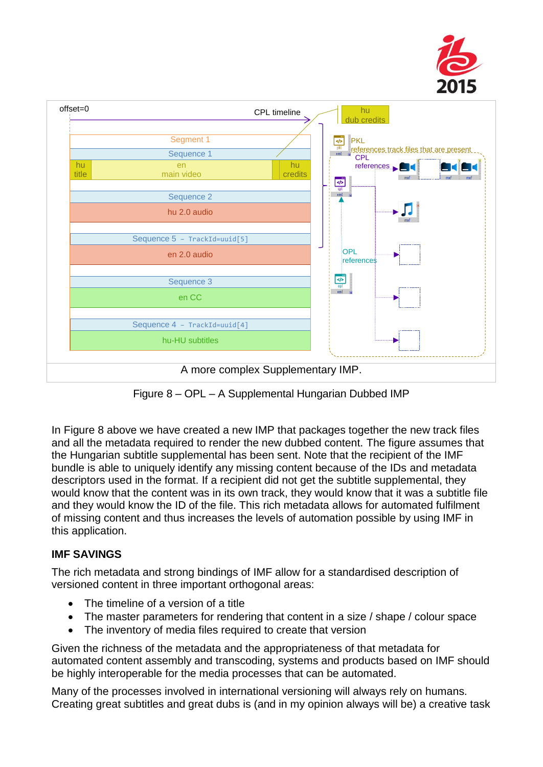



Figure 8 – OPL – A Supplemental Hungarian Dubbed IMP

<span id="page-7-0"></span>In [Figure 8](#page-7-0) above we have created a new IMP that packages together the new track files and all the metadata required to render the new dubbed content. The figure assumes that the Hungarian subtitle supplemental has been sent. Note that the recipient of the IMF bundle is able to uniquely identify any missing content because of the IDs and metadata descriptors used in the format. If a recipient did not get the subtitle supplemental, they would know that the content was in its own track, they would know that it was a subtitle file and they would know the ID of the file. This rich metadata allows for automated fulfilment of missing content and thus increases the levels of automation possible by using IMF in this application.

# **IMF SAVINGS**

The rich metadata and strong bindings of IMF allow for a standardised description of versioned content in three important orthogonal areas:

- The timeline of a version of a title
- The master parameters for rendering that content in a size / shape / colour space
- The inventory of media files required to create that version

Given the richness of the metadata and the appropriateness of that metadata for automated content assembly and transcoding, systems and products based on IMF should be highly interoperable for the media processes that can be automated.

Many of the processes involved in international versioning will always rely on humans. Creating great subtitles and great dubs is (and in my opinion always will be) a creative task